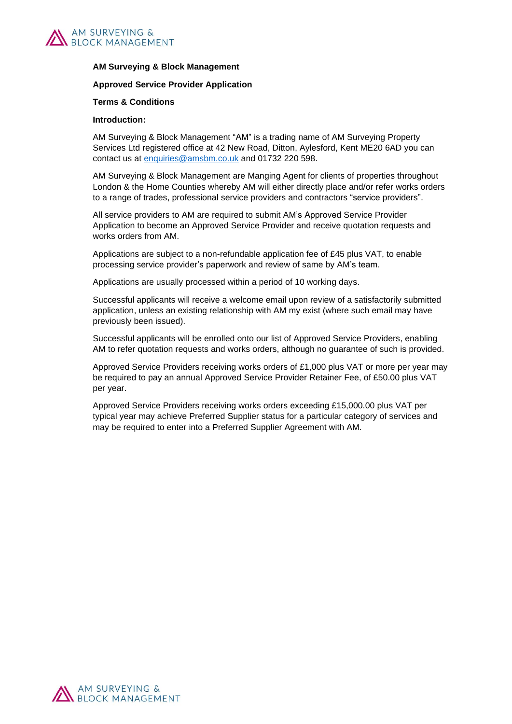

#### **AM Surveying & Block Management**

#### **Approved Service Provider Application**

#### **Terms & Conditions**

#### **Introduction:**

AM Surveying & Block Management "AM" is a trading name of AM Surveying Property Services Ltd registered office at 42 New Road, Ditton, Aylesford, Kent ME20 6AD you can contact us at [enquiries@amsbm.co.uk](mailto:enquiries@amsbm.co.uk) and 01732 220 598.

AM Surveying & Block Management are Manging Agent for clients of properties throughout London & the Home Counties whereby AM will either directly place and/or refer works orders to a range of trades, professional service providers and contractors "service providers".

All service providers to AM are required to submit AM's Approved Service Provider Application to become an Approved Service Provider and receive quotation requests and works orders from AM.

Applications are subject to a non-refundable application fee of £45 plus VAT, to enable processing service provider's paperwork and review of same by AM's team.

Applications are usually processed within a period of 10 working days.

Successful applicants will receive a welcome email upon review of a satisfactorily submitted application, unless an existing relationship with AM my exist (where such email may have previously been issued).

Successful applicants will be enrolled onto our list of Approved Service Providers, enabling AM to refer quotation requests and works orders, although no guarantee of such is provided.

Approved Service Providers receiving works orders of £1,000 plus VAT or more per year may be required to pay an annual Approved Service Provider Retainer Fee, of £50.00 plus VAT per year.

Approved Service Providers receiving works orders exceeding £15,000.00 plus VAT per typical year may achieve Preferred Supplier status for a particular category of services and may be required to enter into a Preferred Supplier Agreement with AM.

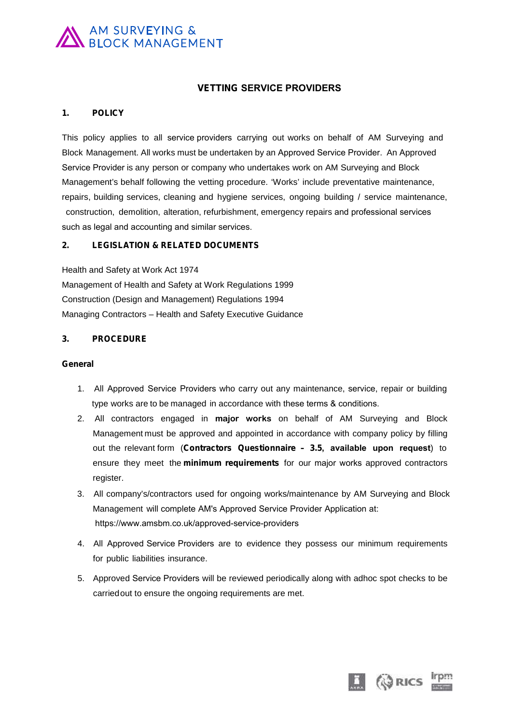# AM SURVEYING &<br>BLOCK MANAGEMENT

# **VETTING SERVICE PROVIDERS**

#### **1. POLICY**

VETTING SERVICE PROVIDERS<br>1. POLICY<br>This policy applies to all service providers carrying out works on behalf of AM Surveying and<br>Block Management. All works must be undertaken by an Approved Service Provider. An Approved 1. POLICY<br>This policy applies to all service providers carrying out works on behalf of AM Surveying and<br>Block Management. All works must be undertaken by an Approved Service Provider. An Approved<br>Service Provider is any pe Service Provider is any person or company who undertakes work on AM Surveying and Block This policy applies to all service providers carrying out works on behalf of AM Surveying and<br>Block Management. All works must be undertaken by an Approved Service Provider. An Approved<br>Service Provider is any person or co Block Management. All works must be undertaken by an Approved Service Provider. An Approved<br>Service Provider is any person or company who undertakes work on AM Surveying and Block<br>Management's behalf following the vetting construction, demolition, alteration, refurbishment, emergency repairs and professional services such as legal and accounting and similar services.

## **2. LEGISLATION & RELATED DOCUMENTS**

Health and Safety at Work Act 1974 Management of Health and Safety at Work Regulations 1999 Construction (Design and Management) Regulations 1994 Managing Contractors – Health and Safety Executive Guidance

#### **3. PROCEDURE**

#### **General**

- 1. All Approved Service Providers who carry out any maintenance, service, repair or building<br>type works are to be managed in accordance with these terms & conditions. I<br>All Approved Service Providers who carry out any maintenance, service,<br>type works are to be managed in accordance with these terms & conditions.<br>All contractors engaged in **major works** on behalf of AM Surve
- out the relevant form (Contractors Questionnaire 3.5, available upon request) to<br>ensure they meet the minimum requirements for our major works approved contractors<br>register.<br>3. All company's/contractors used for ongoing ensure they meet the minimum requirements for our major works approved contractors 2. All Approved Service Providers who carry out any maintenance, service, repair or building<br>1. All Approved Service Providers who carry out any maintenance, service, repair or building<br>1. All contractors engaged in **major** All Approved Service Providers who carry out any maintenance, service, repair or building<br>type works are to be managed in accordance with these terms  $\&$  conditions.<br>All contractors engaged in **major works** on behalf of type works are to be managed in accordance with these terms & conditions.<br>All contractors engaged in **major works** on behalf of AM Surveying and Block<br>Management must be approved and appointed in accordance with company po All contractors engaged in **major works** on behalf of AM Surveying and Block<br>Management must be approved and appointed in accordance with company policy by filling<br>out the relevant form (**Contractors Questionnaire – 3.5, a** register.
- https://www.amsbm.co.uk/approved-service-providers
- 4. All Approved Service Providers are to evidence they possess our minimum requirements for public liabilities insurance.
- 5. Approved Service Providers will be reviewed periodically along with adhoc spot checks to be carriedout to ensure the ongoing requirements are met.